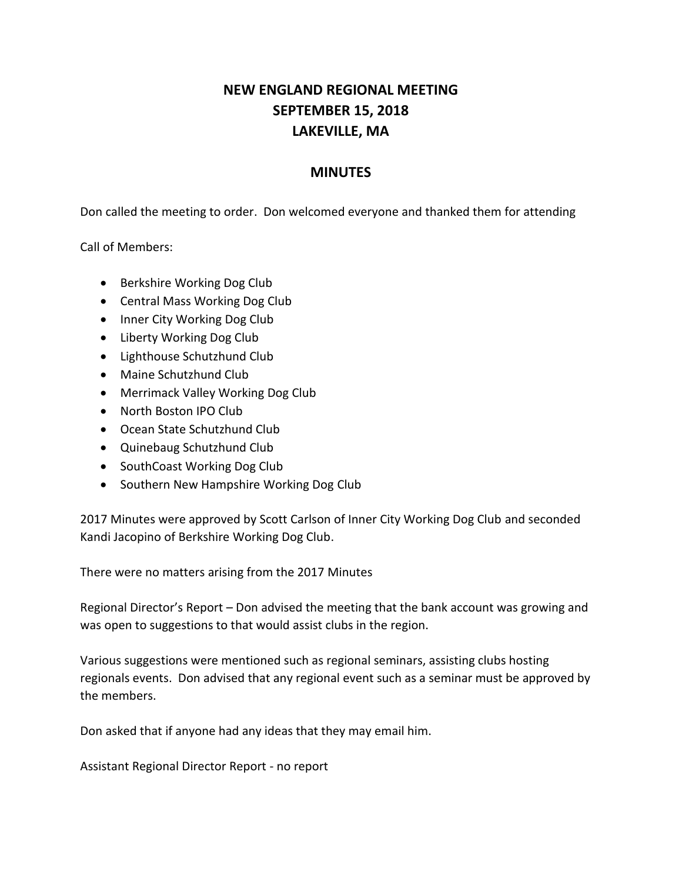## **NEW ENGLAND REGIONAL MEETING SEPTEMBER 15, 2018 LAKEVILLE, MA**

## **MINUTES**

Don called the meeting to order. Don welcomed everyone and thanked them for attending

Call of Members:

- Berkshire Working Dog Club
- Central Mass Working Dog Club
- Inner City Working Dog Club
- Liberty Working Dog Club
- Lighthouse Schutzhund Club
- Maine Schutzhund Club
- Merrimack Valley Working Dog Club
- North Boston IPO Club
- Ocean State Schutzhund Club
- Quinebaug Schutzhund Club
- SouthCoast Working Dog Club
- Southern New Hampshire Working Dog Club

2017 Minutes were approved by Scott Carlson of Inner City Working Dog Club and seconded Kandi Jacopino of Berkshire Working Dog Club.

There were no matters arising from the 2017 Minutes

Regional Director's Report – Don advised the meeting that the bank account was growing and was open to suggestions to that would assist clubs in the region.

Various suggestions were mentioned such as regional seminars, assisting clubs hosting regionals events. Don advised that any regional event such as a seminar must be approved by the members.

Don asked that if anyone had any ideas that they may email him.

Assistant Regional Director Report - no report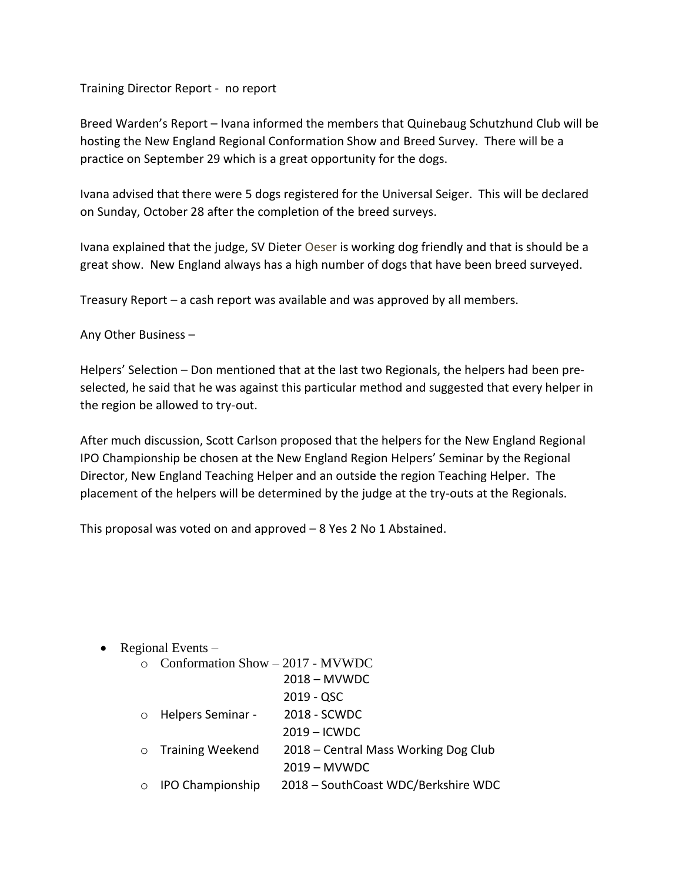Training Director Report - no report

Breed Warden's Report – Ivana informed the members that Quinebaug Schutzhund Club will be hosting the New England Regional Conformation Show and Breed Survey. There will be a practice on September 29 which is a great opportunity for the dogs.

Ivana advised that there were 5 dogs registered for the Universal Seiger. This will be declared on Sunday, October 28 after the completion of the breed surveys.

Ivana explained that the judge, SV Dieter Oeser is working dog friendly and that is should be a great show. New England always has a high number of dogs that have been breed surveyed.

Treasury Report – a cash report was available and was approved by all members.

Any Other Business –

Helpers' Selection – Don mentioned that at the last two Regionals, the helpers had been preselected, he said that he was against this particular method and suggested that every helper in the region be allowed to try-out.

After much discussion, Scott Carlson proposed that the helpers for the New England Regional IPO Championship be chosen at the New England Region Helpers' Seminar by the Regional Director, New England Teaching Helper and an outside the region Teaching Helper. The placement of the helpers will be determined by the judge at the try-outs at the Regionals.

This proposal was voted on and approved – 8 Yes 2 No 1 Abstained.

• Regional Events  $-$ 

|         | $\circ$ Conformation Show – 2017 - MVWDC |                                      |
|---------|------------------------------------------|--------------------------------------|
|         |                                          | $2018 - MVWDC$                       |
|         |                                          | $2019 - QSC$                         |
| $\circ$ | Helpers Seminar -                        | 2018 - SCWDC                         |
|         |                                          | $2019 -$ ICWDC                       |
|         | $\circ$ Training Weekend                 | 2018 – Central Mass Working Dog Club |
|         |                                          | $2019 - MVWDC$                       |
|         | <b>IPO Championship</b>                  | 2018 - SouthCoast WDC/Berkshire WDC  |
|         |                                          |                                      |